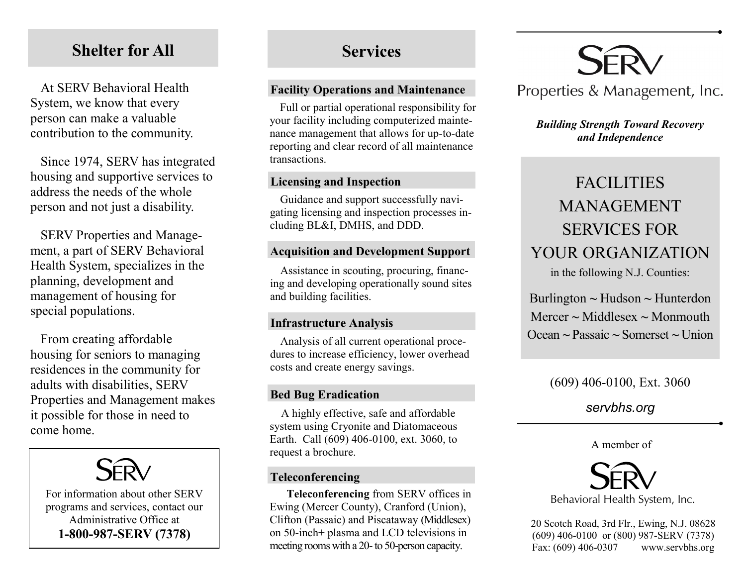# **Shelter for All**

At SERV Behavioral Health System, we know that every person can make a valuable contribution to the community.

Since 1974, SERV has integrated housing and supportive services to address the needs of the whole person and not just a disability.

SERV Properties and Management, a part of SERV Behavioral Health System, specializes in the planning, development and management of housing for special populations.

From creating affordable housing for seniors to managing residences in the community for adults with disabilities, SERV Properties and Management makes it possible for those in need to come home.



# **Services**

#### **Facility Operations and Maintenance**

Full or partial operational responsibility for your facility including computerized maintenance management that allows for up-to-date reporting and clear record of all maintenance transactions.

#### **Licensing and Inspection**

Guidance and support successfully navigating licensing and inspection processes including BL&I, DMHS, and DDD.

# **Acquisition and Development Support**

Assistance in scouting, procuring, financing and developing operationally sound sites and building facilities.

# **Infrastructure Analysis**

Analysis of all current operational procedures to increase efficiency, lower overhead costs and create energy savings.

# **Bed Bug Eradication**

A highly effective, safe and affordable system using Cryonite and Diatomaceous Earth. Call (609) 406-0100, ext. 3060, to request a brochure.

# **Teleconferencing**

**Teleconferencing** from SERV offices in Ewing (Mercer County), Cranford (Union), Clifton (Passaic) and Piscataway (Middlesex) on 50-inch+ plasma and LCD televisions in meeting rooms with a 20-to 50-person capacity.



# Properties & Management, Inc.

# *Building Strength Toward Recovery and Independence*

# FACILITIES MANAGEMENT SERVICES FOR YOUR ORGANIZATION

in the following N.J. Counties:

Burlington **~** Hudson **~** Hunterdon Mercer **~** Middlesex **~** Monmouth Ocean **~** Passaic **~** Somerset **~** Union

# (609) 406-0100, Ext. 3060

# *servbhs.org*

#### A member of



20 Scotch Road, 3rd Flr., Ewing, N.J. 08628 (609) 406-0100 or (800) 987-SERV (7378) Fax: (609) 406-0307 www.servbhs.org